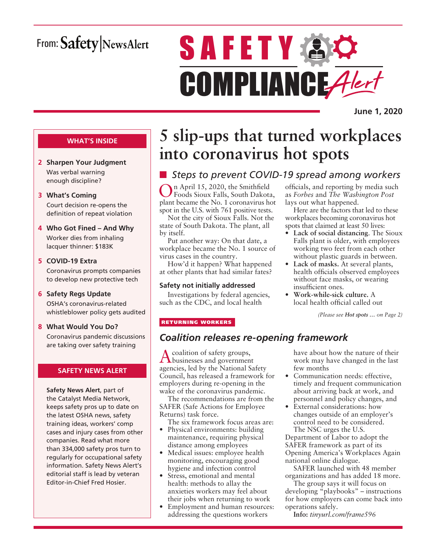# From: Safety NewsAlert

# **SAFETY AC** COMPLIANCE Alert

**June 1, 2020**

#### **WHAT'S INSIDE**

- **2 Sharpen Your Judgment** Was verbal warning enough discipline?
- **3 What's Coming** Court decision re-opens the definition of repeat violation
- **4 Who Got Fined And Why** Worker dies from inhaling lacquer thinner: \$183K
- **5 COVID-19 Extra**

Coronavirus prompts companies to develop new protective tech

#### **6 Safety Regs Update**

OSHA's coronavirus-related whistleblower policy gets audited

**8 What Would You Do?**

Coronavirus pandemic discussions are taking over safety training

#### **SAFETY NEWS ALERT**

**Safety News Alert**, part of the Catalyst Media Network, keeps safety pros up to date on the latest OSHA news, safety training ideas, workers' comp cases and injury cases from other companies. Read what more than 334,000 safety pros turn to regularly for occupational safety information. Safety News Alert's editorial staff is lead by veteran Editor-in-Chief Fred Hosier.

# **5 slip-ups that turned workplaces into coronavirus hot spots**

# ■ *Steps to prevent COVID-19 spread among workers*

n April 15, 2020, the Smithfield Foods Sioux Falls, South Dakota, plant became the No. 1 coronavirus hot spot in the U.S. with 761 positive tests.

Not the city of Sioux Falls. Not the state of South Dakota. The plant, all by itself.

Put another way: On that date, a workplace became the No. 1 source of virus cases in the country.

How'd it happen? What happened at other plants that had similar fates?

#### **Safety not initially addressed**

Investigations by federal agencies, such as the CDC, and local health

officials, and reporting by media such as *Forbes* and *The Washington Post* lays out what happened.

Here are the factors that led to these workplaces becoming coronavirus hot spots that claimed at least 50 lives:

- **Lack of social distancing**. The Sioux Falls plant is older, with employees working two feet from each other without plastic guards in between.
- **Lack of masks.** At several plants, health officials observed employees without face masks, or wearing insufficient ones.
- **Work-while-sick culture.** A local health official called out

*(Please see Hot spots … on Page 2)*

#### RETURNING WORKERS

### *Coalition releases re-opening framework*

A coalition of safety groups, businesses and government agencies, led by the National Safety Council, has released a framework for employers during re-opening in the wake of the coronavirus pandemic.

The recommendations are from the SAFER (Safe Actions for Employee Returns) task force.

The six framework focus areas are:

- Physical environments: building maintenance, requiring physical distance among employees
- Medical issues: employee health monitoring, encouraging good hygiene and infection control
- Stress, emotional and mental health: methods to allay the anxieties workers may feel about their jobs when returning to work
- Employment and human resources: addressing the questions workers

have about how the nature of their work may have changed in the last few months

- Communication needs: effective, timely and frequent communication about arriving back at work, and personnel and policy changes, and
- External considerations: how changes outside of an employer's control need to be considered. The NSC urges the U.S.

Department of Labor to adopt the SAFER framework as part of its Opening America's Workplaces Again national online dialogue.

SAFER launched with 48 member organizations and has added 18 more.

The group says it will focus on developing "playbooks" – instructions for how employers can come back into operations safely.

**Info:** *tinyurl.com/frame596*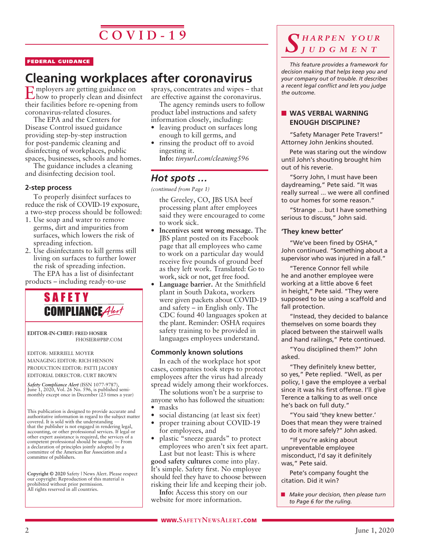#### FEDERAL GUIDANCE

# **Cleaning workplaces after coronavirus**<br> **C** mployers are getting guidance on sprays, concentrates and wipes - t

Employers are getting guidance on how to properly clean and disinfect their facilities before re-opening from coronavirus-related closures.

The EPA and the Centers for Disease Control issued guidance providing step-by-step instruction for post-pandemic cleaning and disinfecting of workplaces, public spaces, businesses, schools and homes.

The guidance includes a cleaning and disinfecting decision tool.

#### **2-step process**

To properly disinfect surfaces to reduce the risk of COVID-19 exposure, a two-step process should be followed:

- 1. Use soap and water to remove germs, dirt and impurities from surfaces, which lowers the risk of spreading infection.
- 2. Use disinfectants to kill germs still living on surfaces to further lower the risk of spreading infection. The EPA has a list of disinfectant products – including ready-to-use



**EDITOR-IN-CHIEF: FRED HOSIER** FHOSIER@PBP.COM

EDITOR: MERRIELL MOYER MANAGING EDITOR: RICH HENSON PRODUCTION EDITOR: PATTI JACOBY EDITORIAL DIRECTOR: CURT BROWN

*Safety Compliance Alert* (ISSN 1077-9787), June 1, 2020, Vol. 26 No. 596, is published semimonthly except once in December (23 times a year)

This publication is designed to provide accurate and authoritative information in regard to the subject matter covered. It is sold with the understanding that the publisher is not engaged in rendering legal, accounting, or other professional services. If legal or other expert assistance is required, the services of a competent professional should be sought. — From a declaration of principles jointly adopted by a committee of the American Bar Association and a committee of publishers.

**Copyright © 2020** Safety | News Alert. Please respect our copyright: Reproduction of this material is prohibited without prior permission. All rights reserved in all countries.

sprays, concentrates and wipes – that are effective against the coronavirus.

The agency reminds users to follow product label instructions and safety information closely, including:

- leaving product on surfaces long enough to kill germs, and
- rinsing the product off to avoid ingesting it. **Info:** *tinyurl.com/cleaning596*

#### *Hot spots …*

*(continued from Page 1)*

the Greeley, CO, JBS USA beef processing plant after employees said they were encouraged to come to work sick.

- **Incentives sent wrong message.** The JBS plant posted on its Facebook page that all employees who came to work on a particular day would receive five pounds of ground beef as they left work. Translated: Go to work, sick or not, get free food.
- **Language barrier.** At the Smithfield plant in South Dakota, workers were given packets about COVID-19 and safety – in English only. The CDC found 40 languages spoken at the plant. Reminder: OSHA requires safety training to be provided in languages employees understand.

#### **Commonly known solutions**

In each of the workplace hot spot cases, companies took steps to protect employees after the virus had already spread widely among their workforces.

The solutions won't be a surprise to anyone who has followed the situation: • masks

- social distancing (at least six feet)
- proper training about COVID-19 for employees, and
- plastic "sneeze guards" to protect employees who aren't six feet apart. Last but not least: This is where

**good safety cultures** come into play. It's simple. Safety first. No employee should feel they have to choose between risking their life and keeping their job.

**Info:** Access this story on our website for more information.

### *S h a r p e n y o u r j u d g m e n t*

*This feature provides a framework for decision making that helps keep you and your company out of trouble. It describes a recent legal conflict and lets you judge the outcome.*

#### **NO WAS VERBAL WARNING ENOUGH DISCIPLINE?**

"Safety Manager Pete Travers!" Attorney John Jenkins shouted.

Pete was staring out the window until John's shouting brought him out of his reverie.

"Sorry John, I must have been daydreaming," Pete said. "It was really surreal ... we were all confined to our homes for some reason."

"Strange ... but I have something serious to discuss," John said.

#### **'They knew better'**

"We've been fined by OSHA," John continued. "Something about a supervisor who was injured in a fall."

"Terence Connor fell while he and another employee were working at a little above 6 feet in height," Pete said. "They were supposed to be using a scaffold and fall protection.

"Instead, they decided to balance themselves on some boards they placed between the stairwell walls and hand railings," Pete continued.

"You disciplined them?" John asked.

"They definitely knew better, so yes," Pete replied. "Well, as per policy, I gave the employee a verbal since it was his first offense. I'll give Terence a talking to as well once he's back on full duty."

"You said 'they knew better.' Does that mean they were trained to do it more safely?" John asked.

"If you're asking about unpreventable employee misconduct, I'd say it definitely was," Pete said.

Pete's company fought the citation. Did it win?

**n** *Make your decision, then please turn to Page 6 for the ruling.*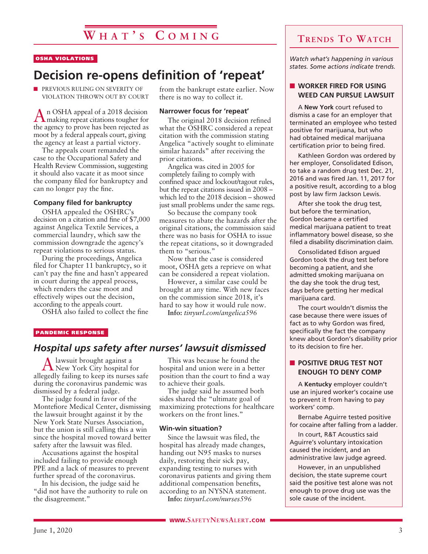# **W h a t ' s C o m in g**

#### OSHA VIOLATIONS

# **Decision re-opens definition of 'repeat'**

**n** PREVIOUS RULING ON SEVERITY OF VIOLATION THROWN OUT BY COURT

An OSHA appeal of a 2018 decision making repeat citations tougher for the agency to prove has been rejected as moot by a federal appeals court, giving the agency at least a partial victory.

The appeals court remanded the case to the Occupational Safety and Health Review Commission, suggesting it should also vacate it as moot since the company filed for bankruptcy and can no longer pay the fine.

#### **Company filed for bankruptcy**

OSHA appealed the OSHRC's decision on a citation and fine of \$7,000 against Angelica Textile Services, a commercial laundry, which saw the commission downgrade the agency's repeat violations to serious status.

During the proceedings, Angelica filed for Chapter 11 bankruptcy, so it can't pay the fine and hasn't appeared in court during the appeal process, which renders the case moot and effectively wipes out the decision, according to the appeals court.

OSHA also failed to collect the fine

from the bankrupt estate earlier. Now there is no way to collect it.

#### **Narrower focus for 'repeat'**

The original 2018 decision refined what the OSHRC considered a repeat citation with the commission stating Angelica "actively sought to eliminate similar hazards" after receiving the prior citations.

Angelica was cited in 2005 for completely failing to comply with confined space and lockout/tagout rules, but the repeat citations issued in 2008 – which led to the 2018 decision – showed just small problems under the same regs.

So because the company took measures to abate the hazards after the original citations, the commission said there was no basis for OSHA to issue the repeat citations, so it downgraded them to "serious."

Now that the case is considered moot, OSHA gets a reprieve on what can be considered a repeat violation.

However, a similar case could be brought at any time. With new faces on the commission since 2018, it's hard to say how it would rule now. **Info:** *tinyurl.com/angelica596*

#### PANDEMIC RESPONSE

#### *Hospital ups safety after nurses' lawsuit dismissed*

Alawsuit brought against a New York City hospital for allegedly failing to keep its nurses safe during the coronavirus pandemic was dismissed by a federal judge.

The judge found in favor of the Montefiore Medical Center, dismissing the lawsuit brought against it by the New York State Nurses Association, but the union is still calling this a win since the hospital moved toward better safety after the lawsuit was filed.

Accusations against the hospital included failing to provide enough PPE and a lack of measures to prevent further spread of the coronavirus.

In his decision, the judge said he "did not have the authority to rule on the disagreement."

This was because he found the hospital and union were in a better position than the court to find a way to achieve their goals.

The judge said he assumed both sides shared the "ultimate goal of maximizing protections for healthcare workers on the front lines."

#### **Win-win situation?**

Since the lawsuit was filed, the hospital has already made changes, handing out N95 masks to nurses daily, restoring their sick pay, expanding testing to nurses with coronavirus patients and giving them additional compensation benefits, according to an NYSNA statement.

**Info:** *tinyurl.com/nurses596*

### **Trends To Watch**

*Watch what's happening in various states. Some actions indicate trends.*

#### **N** WORKER FIRED FOR USING **WEED CAN PURSUE LAWSUIT**

A **New York** court refused to dismiss a case for an employer that terminated an employee who tested positive for marijuana, but who had obtained medical marijuana certification prior to being fired.

Kathleen Gordon was ordered by her employer, Consolidated Edison, to take a random drug test Dec. 21, 2016 and was fired Jan. 11, 2017 for a positive result, according to a blog post by law firm Jackson Lewis.

After she took the drug test, but before the termination, Gordon became a certified medical marijuana patient to treat inflammatory bowel disease, so she filed a disability discrimination claim.

Consolidated Edison argued Gordon took the drug test before becoming a patient, and she admitted smoking marijuana on the day she took the drug test, days before getting her medical marijuana card.

The court wouldn't dismiss the case because there were issues of fact as to why Gordon was fired, specifically the fact the company knew about Gordon's disability prior to its decision to fire her.

#### **N** POSITIVE DRUG TEST NOT **ENOUGH TO DENY COMP**

A **Kentucky** employer couldn't use an injured worker's cocaine use to prevent it from having to pay workers' comp.

Bernabe Aguirre tested positive for cocaine after falling from a ladder.

In court, R&T Acoustics said Aguirre's voluntary intoxication caused the incident, and an administrative law judge agreed.

However, in an unpublished decision, the state supreme court said the positive test alone was not enough to prove drug use was the sole cause of the incident.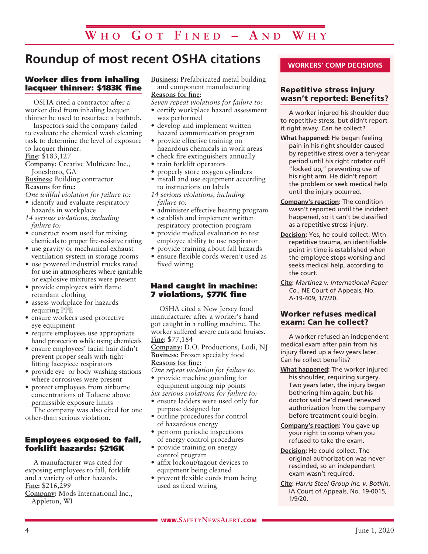# **Roundup of most recent OSHA citations**

#### Worker dies from inhaling lacquer thinner: \$183K fine

OSHA cited a contractor after a worker died from inhaling lacquer thinner he used to resurface a bathtub.

Inspectors said the company failed to evaluate the chemical wash cleaning task to determine the level of exposure to lacquer thinner.

**Fine:** \$183,127

- **Company:** Creative Multicare Inc., Jonesboro, GA
- **Business:** Building contractor **Reasons for fine:**

- *One willful violation for failure to:*
- identify and evaluate respiratory hazards in workplace
- *14 serious violations, including failure to:*
- construct room used for mixing chemicals to proper fire-resistive rating
- use gravity or mechanical exhaust ventilation system in storage rooms
- use powered industrial trucks rated for use in atmospheres where ignitable or explosive mixtures were present
- provide employees with flame retardant clothing
- assess workplace for hazards requiring PPE
- ensure workers used protective eye equipment
- require employees use appropriate hand protection while using chemicals
- ensure employees' facial hair didn't prevent proper seals with tightfitting facepiece respirators
- provide eye- or body-washing stations where corrosives were present
- protect employees from airborne concentrations of Toluene above permissible exposure limits

The company was also cited for one other-than serious violation.

#### Employees exposed to fall, forklift hazards: \$216K

A manufacturer was cited for exposing employees to fall, forklift and a variety of other hazards. **Fine:** \$216,299 **Company:** Mods International Inc., Appleton, WI

**Business:** Prefabricated metal building and component manufacturing **Reasons for fine:**

- *Seven repeat violations for failure to:*
- certify workplace hazard assessment was performed
- develop and implement written hazard communication program
- provide effective training on hazardous chemicals in work areas
- check fire extinguishers annually
- train forklift operators
- properly store oxygen cylinders
- install and use equipment according to instructions on labels
- *14 serious violations, including failure to:*
- administer effective hearing program
- establish and implement written respiratory protection program
- provide medical evaluation to test employee ability to use respirator
- provide training about fall hazards
- ensure flexible cords weren't used as fixed wiring

#### Hand caught in machine: 7 violations, \$77K fine

OSHA cited a New Jersey food manufacturer after a worker's hand got caught in a rolling machine. The worker suffered severe cuts and bruises. **Fine:** \$77,184

**Company:** D.O. Productions, Lodi, NJ **Business:** Frozen specialty food **Reasons for fine:**

*One repeat violation for failure to:*

- provide machine guarding for equipment ingoing nip points
- *Six serious violations for failure to:*
- ensure ladders were used only for purpose designed for
- outline procedures for control of hazardous energy
- perform periodic inspections
- of energy control procedures • provide training on energy control program
- affix lockout/tagout devices to equipment being cleaned
- prevent flexible cords from being used as fixed wiring

#### **WORKERS' COMP DECISIONS**

#### Repetitive stress injury wasn't reported: Benefits?

A worker injured his shoulder due to repetitive stress, but didn't report it right away. Can he collect?

- **What happened:** He began feeling pain in his right shoulder caused by repetitive stress over a ten-year period until his right rotator cuff "locked up," preventing use of his right arm. He didn't report the problem or seek medical help until the injury occurred.
- **Company's reaction:** The condition wasn't reported until the incident happened, so it can't be classified as a repetitive stress injury.
- **Decision:** Yes, he could collect. With repetitive trauma, an identifiable point in time is established when the employee stops working and seeks medical help, according to the court.
- **Cite:** *Martinez v. International Paper Co.*, NE Court of Appeals, No. A-19-409, 1/7/20.

#### Worker refuses medical exam: Can he collect?

A worker refused an independent medical exam after pain from his injury flared up a few years later. Can he collect benefits?

- **What happened:** The worker injured his shoulder, requiring surgery. Two years later, the injury began bothering him again, but his doctor said he'd need renewed authorization from the company before treatment could begin.
- **Company's reaction:** You gave up your right to comp when you refused to take the exam.
- **Decision:** He could collect. The original authorization was never rescinded, so an independent exam wasn't required.
- **Cite:** *Harris Steel Group Inc. v. Botkin*, IA Court of Appeals, No. 19-0015, 1/9/20.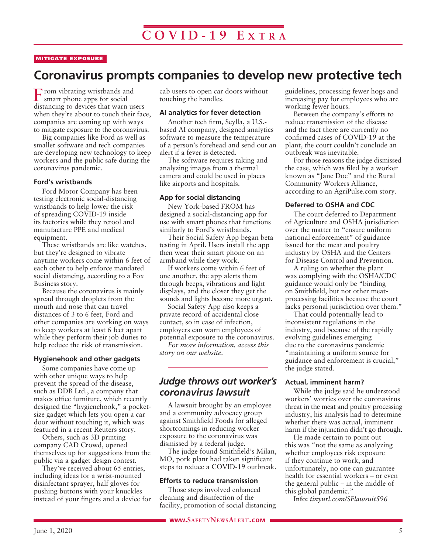#### MITIGATE EXPOSURE

# **Coronavirus prompts companies to develop new protective tech**

From vibrating wristbands and smart phone apps for social distancing to devices that warn users when they're about to touch their face, companies are coming up with ways to mitigate exposure to the coronavirus.

Big companies like Ford as well as smaller software and tech companies are developing new technology to keep workers and the public safe during the coronavirus pandemic.

#### **Ford's wristbands**

Ford Motor Company has been testing electronic social-distancing wristbands to help lower the risk of spreading COVID-19 inside its factories while they retool and manufacture PPE and medical equipment.

These wristbands are like watches, but they're designed to vibrate anytime workers come within 6 feet of each other to help enforce mandated social distancing, according to a Fox Business story.

Because the coronavirus is mainly spread through droplets from the mouth and nose that can travel distances of 3 to 6 feet, Ford and other companies are working on ways to keep workers at least 6 feet apart while they perform their job duties to help reduce the risk of transmission.

#### **Hygienehook and other gadgets**

Some companies have come up with other unique ways to help prevent the spread of the disease, such as DDB Ltd., a company that makes office furniture, which recently designed the "hygienehook," a pocketsize gadget which lets you open a car door without touching it, which was featured in a recent Reuters story.

Others, such as 3D printing company CAD Crowd, opened themselves up for suggestions from the public via a gadget design contest.

They've received about 65 entries, including ideas for a wrist-mounted disinfectant sprayer, half gloves for pushing buttons with your knuckles instead of your fingers and a device for cab users to open car doors without touching the handles.

#### **AI analytics for fever detection**

Another tech firm, Scylla, a U.S. based AI company, designed analytics software to measure the temperature of a person's forehead and send out an alert if a fever is detected.

The software requires taking and analyzing images from a thermal camera and could be used in places like airports and hospitals.

#### **App for social distancing**

New York-based FROM has designed a social-distancing app for use with smart phones that functions similarly to Ford's wristbands.

Their Social Safety App began beta testing in April. Users install the app then wear their smart phone on an armband while they work.

If workers come within 6 feet of one another, the app alerts them through beeps, vibrations and light displays, and the closer they get the sounds and lights become more urgent.

Social Safety App also keeps a private record of accidental close contact, so in case of infection, employers can warn employees of potential exposure to the coronavirus.

*For more information, access this story on our website.*

#### *Judge throws out worker's coronavirus lawsuit*

A lawsuit brought by an employee and a community advocacy group against Smithfield Foods for alleged shortcomings in reducing worker exposure to the coronavirus was dismissed by a federal judge.

The judge found Smithfield's Milan, MO, pork plant had taken significant steps to reduce a COVID-19 outbreak.

#### **Efforts to reduce transmission**

Those steps involved enhanced cleaning and disinfection of the facility, promotion of social distancing guidelines, processing fewer hogs and increasing pay for employees who are working fewer hours.

Between the company's efforts to reduce transmission of the disease and the fact there are currently no confirmed cases of COVID-19 at the plant, the court couldn't conclude an outbreak was inevitable.

For those reasons the judge dismissed the case, which was filed by a worker known as "Jane Doe" and the Rural Community Workers Alliance, according to an AgriPulse.com story.

#### **Deferred to OSHA and CDC**

The court deferred to Department of Agriculture and OSHA jurisdiction over the matter to "ensure uniform national enforcement" of guidance issued for the meat and poultry industry by OSHA and the Centers for Disease Control and Prevention.

A ruling on whether the plant was complying with the OSHA/CDC guidance would only be "binding on Smithfield, but not other meatprocessing facilities because the court lacks personal jurisdiction over them."

That could potentially lead to inconsistent regulations in the industry, and because of the rapidly evolving guidelines emerging due to the coronavirus pandemic "maintaining a uniform source for guidance and enforcement is crucial," the judge stated.

#### **Actual, imminent harm?**

While the judge said he understood workers' worries over the coronavirus threat in the meat and poultry processing industry, his analysis had to determine whether there was actual, imminent harm if the injunction didn't go through.

He made certain to point out this was "not the same as analyzing whether employees risk exposure if they continue to work, and unfortunately, no one can guarantee health for essential workers – or even the general public – in the middle of this global pandemic."

**Info:** *tinyurl.com/SFlawsuit596*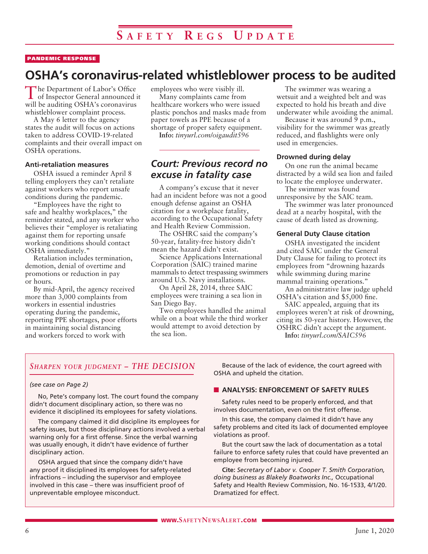#### PANDEMIC RESPONSE

# **OSHA's coronavirus-related whistleblower process to be audited**

The Department of Labor's Office of Inspector General announced it will be auditing OSHA's coronavirus whistleblower complaint process.

A May 6 letter to the agency states the audit will focus on actions taken to address COVID-19-related complaints and their overall impact on OSHA operations.

#### **Anti-retaliation measures**

OSHA issued a reminder April 8 telling employers they can't retaliate against workers who report unsafe conditions during the pandemic.

"Employees have the right to safe and healthy workplaces," the reminder stated, and any worker who believes their "employer is retaliating against them for reporting unsafe working conditions should contact OSHA immediately."

Retaliation includes termination, demotion, denial of overtime and promotions or reduction in pay or hours.

By mid-April, the agency received more than 3,000 complaints from workers in essential industries operating during the pandemic, reporting PPE shortages, poor efforts in maintaining social distancing and workers forced to work with

employees who were visibly ill.

Many complaints came from healthcare workers who were issued plastic ponchos and masks made from paper towels as PPE because of a shortage of proper safety equipment.

**Info:** *tinyurl.com/oigaudit596*

### *Court: Previous record no excuse in fatality case*

A company's excuse that it never had an incident before was not a good enough defense against an OSHA citation for a workplace fatality, according to the Occupational Safety and Health Review Commission.

The OSHRC said the company's 50-year, fatality-free history didn't mean the hazard didn't exist.

Science Applications International Corporation (SAIC) trained marine mammals to detect trespassing swimmers around U.S. Navy installations.

On April 28, 2014, three SAIC employees were training a sea lion in San Diego Bay.

Two employees handled the animal while on a boat while the third worker would attempt to avoid detection by the sea lion.

The swimmer was wearing a wetsuit and a weighted belt and was expected to hold his breath and dive underwater while avoiding the animal.

Because it was around 9 p.m., visibility for the swimmer was greatly reduced, and flashlights were only used in emergencies.

#### **Drowned during delay**

On one run the animal became distracted by a wild sea lion and failed to locate the employee underwater.

The swimmer was found unresponsive by the SAIC team.

The swimmer was later pronounced dead at a nearby hospital, with the cause of death listed as drowning.

#### **General Duty Clause citation**

OSHA investigated the incident and cited SAIC under the General Duty Clause for failing to protect its employees from "drowning hazards while swimming during marine mammal training operations."

An administrative law judge upheld OSHA's citation and \$5,000 fine.

SAIC appealed, arguing that its employees weren't at risk of drowning, citing its 50-year history. However, the OSHRC didn't accept the argument.

**Info:** *tinyurl.com/SAIC596*

#### *Sharpen your judgment – THE DECISION*

#### *(see case on Page 2)*

No, Pete's company lost. The court found the company didn't document disciplinary action, so there was no evidence it disciplined its employees for safety violations.

The company claimed it did discipline its employees for safety issues, but those disciplinary actions involved a verbal warning only for a first offense. Since the verbal warning was usually enough, it didn't have evidence of further disciplinary action.

OSHA argued that since the company didn't have any proof it disciplined its employees for safety-related infractions – including the supervisor and employee involved in this case – there was insufficient proof of unpreventable employee misconduct.

Because of the lack of evidence, the court agreed with OSHA and upheld the citation.

#### **N** ANALYSIS: ENFORCEMENT OF SAFETY RULES

Safety rules need to be properly enforced, and that involves documentation, even on the first offense.

In this case, the company claimed it didn't have any safety problems and cited its lack of documented employee violations as proof.

But the court saw the lack of documentation as a total failure to enforce safety rules that could have prevented an employee from becoming injured.

**Cite:** *Secretary of Labor v. Cooper T. Smith Corporation, doing business as Blakely Boatworks Inc.,* Occupational Safety and Health Review Commission, No. 16-1533, 4/1/20. Dramatized for effect.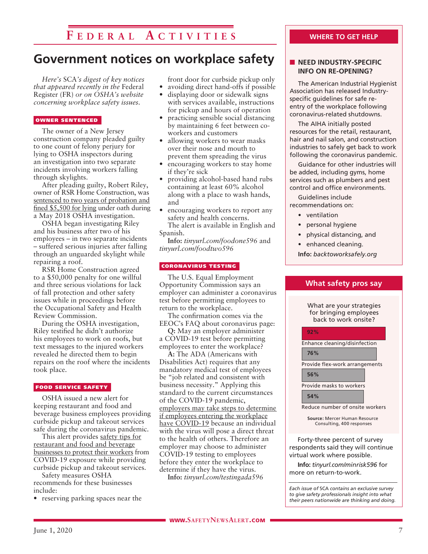# **F e d e r a l A c t ivi t i e s**

# **Government notices on workplace safety**

*Here's* SCA*'s digest of key notices that appeared recently in the* Federal Register (FR) *or on OSHA's website concerning workplace safety issues.* 

#### OWNER SENTENCED

The owner of a New Jersey construction company pleaded guilty to one count of felony perjury for lying to OSHA inspectors during an investigation into two separate incidents involving workers falling through skylights.

After pleading guilty, Robert Riley, owner of RSR Home Construction, was sentenced to two years of probation and fined \$5,500 for lying under oath during a May 2018 OSHA investigation.

OSHA began investigating Riley and his business after two of his employees – in two separate incidents – suffered serious injuries after falling through an unguarded skylight while repairing a roof.

RSR Home Construction agreed to a \$50,000 penalty for one willful and three serious violations for lack of fall protection and other safety issues while in proceedings before the Occupational Safety and Health Review Commission.

During the OSHA investigation, Riley testified he didn't authorize his employees to work on roofs, but text messages to the injured workers revealed he directed them to begin repairs on the roof where the incidents took place.

#### FOOD SERVICE SAFETY

OSHA issued a new alert for keeping restaurant and food and beverage business employees providing curbside pickup and takeout services safe during the coronavirus pandemic.

This alert provides safety tips for restaurant and food and beverage businesses to protect their workers from COVID-19 exposure while providing curbside pickup and takeout services.

Safety measures OSHA recommends for these businesses include:

• reserving parking spaces near the

front door for curbside pickup only

- avoiding direct hand-offs if possible • displaying door or sidewalk signs
- with services available, instructions for pickup and hours of operation
- practicing sensible social distancing by maintaining 6 feet between coworkers and customers
- allowing workers to wear masks over their nose and mouth to prevent them spreading the virus
- encouraging workers to stay home if they're sick
- providing alcohol-based hand rubs containing at least 60% alcohol along with a place to wash hands, and
- encouraging workers to report any safety and health concerns. The alert is available in English and

Spanish. **Info:** *tinyurl.com/foodone596* and

*tinyurl.com/foodtwo596*

#### CORONAVIRUS TESTING

The U.S. Equal Employment Opportunity Commission says an employer can administer a coronavirus test before permitting employees to return to the workplace.

The confirmation comes via the EEOC's FAQ about coronavirus page:

**Q:** May an employer administer a COVID-19 test before permitting employees to enter the workplace?

**A:** The ADA (Americans with Disabilities Act) requires that any mandatory medical test of employees be "job related and consistent with business necessity." Applying this standard to the current circumstances of the COVID-19 pandemic, employers may take steps to determine if employees entering the workplace have COVID-19 because an individual with the virus will pose a direct threat to the health of others. Therefore an employer may choose to administer COVID-19 testing to employees before they enter the workplace to determine if they have the virus.

**Info:** *tinyurl.com/testingada596*

#### **WHERE TO GET HELP**

#### **NEED INDUSTRY-SPECIFIC INFO ON RE-OPENING?**

The American Industrial Hygienist Association has released Industryspecific guidelines for safe reentry of the workplace following coronavirus-related shutdowns.

The AIHA initially posted resources for the retail, restaurant, hair and nail salon, and construction industries to safely get back to work following the coronavirus pandemic.

Guidance for other industries will be added, including gyms, home services such as plumbers and pest control and office environments.

Guidelines include recommendations on:

- ventilation
- personal hygiene
- physical distancing, and
- enhanced cleaning.

**Info:** *backtoworksafely.org*

**What safety pros say**

What are your strategies

| for bringing employees<br>back to work onsite? |
|------------------------------------------------|
| 92%                                            |
| Enhance cleaning/disinfection                  |
| 76%                                            |
| Provide flex-work arrangements                 |
| 56%                                            |
| Provide masks to workers                       |
| 54%                                            |
| Reduce number of onsite workers                |

**Source:** Mercer Human Resource Consulting, 400 responses

Forty-three percent of survey respondents said they will continue virtual work where possible.

**Info:** *tinyurl.com/minrisk596* for more on return-to-work.

*Each issue of* SCA *contains an exclusive survey to give safety professionals insight into what their peers nationwide are thinking and doing.*